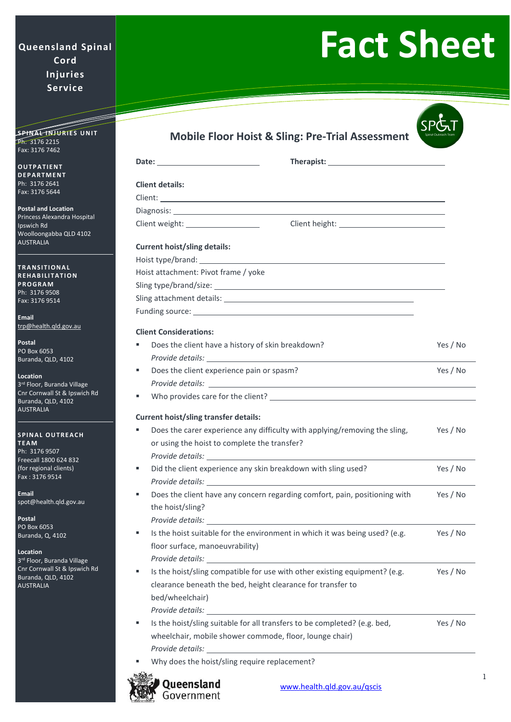## **Queensland Spinal Cord Injuries Service**

## **Fact Sheet**

| <u> Timber d</u>                                                                                                      |                                                                                                                                                                                                                                     |          |
|-----------------------------------------------------------------------------------------------------------------------|-------------------------------------------------------------------------------------------------------------------------------------------------------------------------------------------------------------------------------------|----------|
| <b>SPINAL INJURIES UNIT</b><br>Ph: 3176 2215<br>Fax: 3176 7462                                                        | <b>Mobile Floor Hoist &amp; Sling: Pre-Trial Assessment</b>                                                                                                                                                                         |          |
| <b>OUTPATIENT</b>                                                                                                     |                                                                                                                                                                                                                                     |          |
| <b>DEPARTMENT</b>                                                                                                     |                                                                                                                                                                                                                                     |          |
| Ph: 3176 2641<br>Fax: 3176 5644                                                                                       | <b>Client details:</b>                                                                                                                                                                                                              |          |
|                                                                                                                       | Client: <u>Client</u> Client Communication of the Client Communication of the Client Communication of the Client Communication of the Client Communication of the Client Communication of the Client Communication of the Client Co |          |
| <b>Postal and Location</b><br>Princess Alexandra Hospital<br>Ipswich Rd<br>Woolloongabba QLD 4102<br><b>AUSTRALIA</b> |                                                                                                                                                                                                                                     |          |
|                                                                                                                       |                                                                                                                                                                                                                                     |          |
|                                                                                                                       | <b>Current hoist/sling details:</b>                                                                                                                                                                                                 |          |
|                                                                                                                       |                                                                                                                                                                                                                                     |          |
| <b>TRANSITIONAL</b><br><b>REHABILITATION</b>                                                                          | Hoist attachment: Pivot frame / yoke                                                                                                                                                                                                |          |
| <b>PROGRAM</b>                                                                                                        |                                                                                                                                                                                                                                     |          |
| Ph: 3176 9508<br>Fax: 3176 9514                                                                                       |                                                                                                                                                                                                                                     |          |
|                                                                                                                       |                                                                                                                                                                                                                                     |          |
| Email<br>trp@health.qld.gov.au                                                                                        |                                                                                                                                                                                                                                     |          |
|                                                                                                                       | <b>Client Considerations:</b>                                                                                                                                                                                                       |          |
| Postal<br>PO Box 6053                                                                                                 | Does the client have a history of skin breakdown?<br>ш                                                                                                                                                                              | Yes / No |
| Buranda, QLD, 4102                                                                                                    |                                                                                                                                                                                                                                     |          |
| Location                                                                                                              | Does the client experience pain or spasm?<br>g,                                                                                                                                                                                     | Yes / No |
| 3rd Floor, Buranda Village<br>Cnr Cornwall St & Ipswich Rd<br>Buranda, QLD, 4102<br><b>AUSTRALIA</b>                  |                                                                                                                                                                                                                                     |          |
|                                                                                                                       | g,                                                                                                                                                                                                                                  |          |
|                                                                                                                       | <b>Current hoist/sling transfer details:</b>                                                                                                                                                                                        |          |
| <b>SPINAL OUTREACH</b>                                                                                                | Does the carer experience any difficulty with applying/removing the sling,                                                                                                                                                          | Yes / No |
| <b>TEAM</b>                                                                                                           | or using the hoist to complete the transfer?                                                                                                                                                                                        |          |
| Ph: 3176 9507<br>Freecall 1800 624 832                                                                                |                                                                                                                                                                                                                                     |          |
| (for regional clients)<br>Fax: 3176 9514                                                                              | Did the client experience any skin breakdown with sling used?<br>٠                                                                                                                                                                  | Yes / No |
| <b>Email</b>                                                                                                          | Does the client have any concern regarding comfort, pain, positioning with<br>ш                                                                                                                                                     | Yes / No |
| spot@health.qld.gov.au                                                                                                | the hoist/sling?                                                                                                                                                                                                                    |          |
| Postal                                                                                                                | Provide details: <u>Details:</u> Provide details:                                                                                                                                                                                   |          |
| PO Box 6053<br>Buranda, Q, 4102                                                                                       | Is the hoist suitable for the environment in which it was being used? (e.g.<br>ш                                                                                                                                                    | Yes / No |
|                                                                                                                       | floor surface, manoeuvrability)                                                                                                                                                                                                     |          |
| Location<br>3rd Floor, Buranda Village                                                                                |                                                                                                                                                                                                                                     |          |
| Cnr Cornwall St & Ipswich Rd                                                                                          | Is the hoist/sling compatible for use with other existing equipment? (e.g.<br>٠                                                                                                                                                     | Yes / No |
| Buranda, QLD, 4102<br><b>AUSTRALIA</b>                                                                                | clearance beneath the bed, height clearance for transfer to                                                                                                                                                                         |          |
|                                                                                                                       | bed/wheelchair)                                                                                                                                                                                                                     |          |
|                                                                                                                       | Provide details:                                                                                                                                                                                                                    |          |
|                                                                                                                       | Is the hoist/sling suitable for all transfers to be completed? (e.g. bed,<br>ш                                                                                                                                                      | Yes / No |
|                                                                                                                       | wheelchair, mobile shower commode, floor, lounge chair)                                                                                                                                                                             |          |
|                                                                                                                       | Provide details: University of the contract of the contract of the contract of the contract of the contract of                                                                                                                      |          |
|                                                                                                                       | Why does the hoist/sling require replacement?                                                                                                                                                                                       |          |